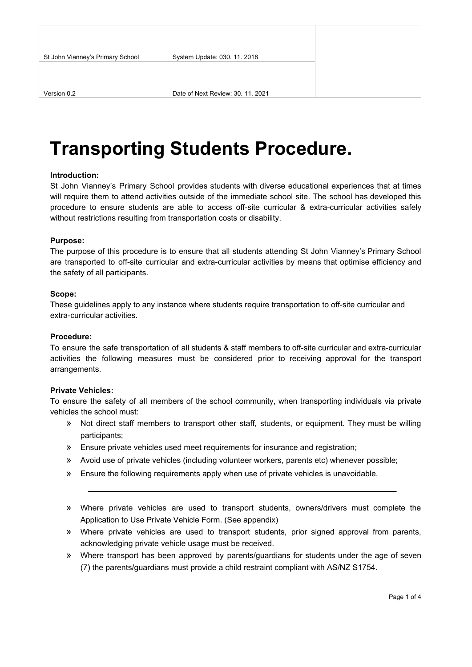# **Transporting Students Procedure.**

#### **Introduction:**

St John Vianney's Primary School provides students with diverse educational experiences that at times will require them to attend activities outside of the immediate school site. The school has developed this procedure to ensure students are able to access off-site curricular & extra-curricular activities safely without restrictions resulting from transportation costs or disability.

#### **Purpose:**

The purpose of this procedure is to ensure that all students attending St John Vianney's Primary School are transported to off-site curricular and extra-curricular activities by means that optimise efficiency and the safety of all participants.

#### **Scope:**

These guidelines apply to any instance where students require transportation to off-site curricular and extra-curricular activities.

#### **Procedure:**

To ensure the safe transportation of all students & staff members to off-site curricular and extra-curricular activities the following measures must be considered prior to receiving approval for the transport arrangements.

#### **Private Vehicles:**

To ensure the safety of all members of the school community, when transporting individuals via private vehicles the school must:

- » Not direct staff members to transport other staff, students, or equipment. They must be willing participants;
- » Ensure private vehicles used meet requirements for insurance and registration;
- » Avoid use of private vehicles (including volunteer workers, parents etc) whenever possible;
- » Ensure the following requirements apply when use of private vehicles is unavoidable.
- » Where private vehicles are used to transport students, owners/drivers must complete the Application to Use Private Vehicle Form. (See appendix)
- » Where private vehicles are used to transport students, prior signed approval from parents, acknowledging private vehicle usage must be received.
- » Where transport has been approved by parents/guardians for students under the age of seven (7) the parents/guardians must provide a child restraint compliant with AS/NZ S1754.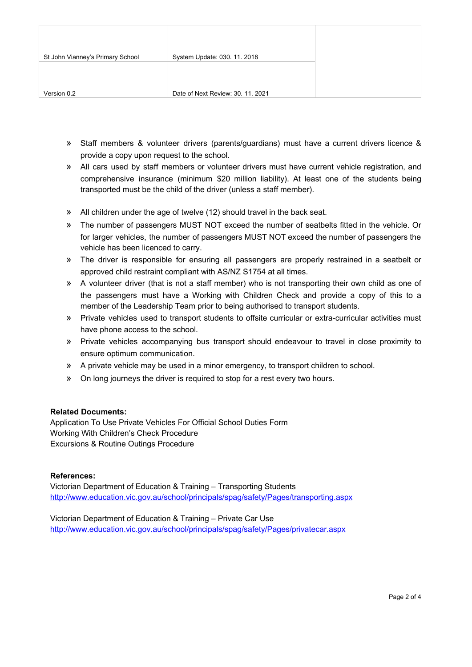| St John Vianney's Primary School | System Update: 030. 11. 2018      |  |
|----------------------------------|-----------------------------------|--|
|                                  |                                   |  |
|                                  |                                   |  |
| Version 0.2                      | Date of Next Review: 30, 11, 2021 |  |

- » Staff members & volunteer drivers (parents/guardians) must have a current drivers licence & provide a copy upon request to the school.
- » All cars used by staff members or volunteer drivers must have current vehicle registration, and comprehensive insurance (minimum \$20 million liability). At least one of the students being transported must be the child of the driver (unless a staff member).
- » All children under the age of twelve (12) should travel in the back seat.
- » The number of passengers MUST NOT exceed the number of seatbelts fitted in the vehicle. Or for larger vehicles, the number of passengers MUST NOT exceed the number of passengers the vehicle has been licenced to carry.
- » The driver is responsible for ensuring all passengers are properly restrained in a seatbelt or approved child restraint compliant with AS/NZ S1754 at all times.
- » A volunteer driver (that is not a staff member) who is not transporting their own child as one of the passengers must have a Working with Children Check and provide a copy of this to a member of the Leadership Team prior to being authorised to transport students.
- » Private vehicles used to transport students to offsite curricular or extra-curricular activities must have phone access to the school.
- » Private vehicles accompanying bus transport should endeavour to travel in close proximity to ensure optimum communication.
- » A private vehicle may be used in a minor emergency, to transport children to school.
- » On long journeys the driver is required to stop for a rest every two hours.

## **Related Documents:**

Application To Use Private Vehicles For Official School Duties Form Working With Children's Check Procedure Excursions & Routine Outings Procedure

## **References:**

Victorian Department of Education & Training – Transporting Students <http://www.education.vic.gov.au/school/principals/spag/safety/Pages/transporting.aspx>

Victorian Department of Education & Training – Private Car Use <http://www.education.vic.gov.au/school/principals/spag/safety/Pages/privatecar.aspx>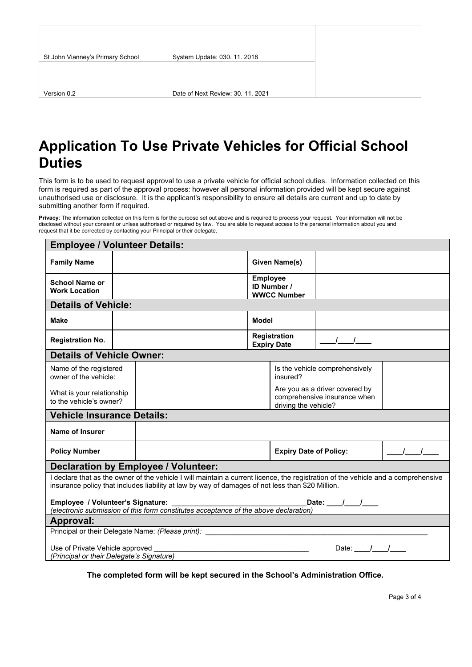# **Application To Use Private Vehicles for Official School Duties**

This form is to be used to request approval to use a private vehicle for official school duties. Information collected on this form is required as part of the approval process: however all personal information provided will be kept secure against unauthorised use or disclosure. It is the applicant's responsibility to ensure all details are current and up to date by submitting another form if required.

**Privacy**: The information collected on this form is for the purpose set out above and is required to process your request. Your information will not be disclosed without your consent or unless authorised or required by law. You are able to request access to the personal information about you and request that it be corrected by contacting your Principal or their delegate.

| <b>Employee / Volunteer Details:</b>                 |                                                                                                     |                                                                                                                                                                                                                                     |                 |                                    |                                                                |               |
|------------------------------------------------------|-----------------------------------------------------------------------------------------------------|-------------------------------------------------------------------------------------------------------------------------------------------------------------------------------------------------------------------------------------|-----------------|------------------------------------|----------------------------------------------------------------|---------------|
| <b>Family Name</b>                                   |                                                                                                     |                                                                                                                                                                                                                                     |                 | Given Name(s)                      |                                                                |               |
| <b>School Name or</b><br><b>Work Location</b>        |                                                                                                     |                                                                                                                                                                                                                                     | <b>Employee</b> | ID Number /<br><b>WWCC Number</b>  |                                                                |               |
| <b>Details of Vehicle:</b>                           |                                                                                                     |                                                                                                                                                                                                                                     |                 |                                    |                                                                |               |
| <b>Make</b>                                          |                                                                                                     |                                                                                                                                                                                                                                     | <b>Model</b>    |                                    |                                                                |               |
| <b>Registration No.</b>                              |                                                                                                     |                                                                                                                                                                                                                                     |                 | Registration<br><b>Expiry Date</b> | $\frac{1}{\sqrt{2}}$                                           |               |
| <b>Details of Vehicle Owner:</b>                     |                                                                                                     |                                                                                                                                                                                                                                     |                 |                                    |                                                                |               |
| Name of the registered<br>owner of the vehicle:      |                                                                                                     |                                                                                                                                                                                                                                     |                 | insured?                           | Is the vehicle comprehensively                                 |               |
| What is your relationship<br>to the vehicle's owner? |                                                                                                     |                                                                                                                                                                                                                                     |                 | driving the vehicle?               | Are you as a driver covered by<br>comprehensive insurance when |               |
| <b>Vehicle Insurance Details:</b>                    |                                                                                                     |                                                                                                                                                                                                                                     |                 |                                    |                                                                |               |
| Name of Insurer                                      |                                                                                                     |                                                                                                                                                                                                                                     |                 |                                    |                                                                |               |
| <b>Policy Number</b>                                 |                                                                                                     |                                                                                                                                                                                                                                     |                 | <b>Expiry Date of Policy:</b>      |                                                                | $\frac{1}{2}$ |
|                                                      |                                                                                                     | Declaration by Employee / Volunteer:                                                                                                                                                                                                |                 |                                    |                                                                |               |
|                                                      |                                                                                                     | declare that as the owner of the vehicle I will maintain a current licence, the registration of the vehicle and a comprehensive<br>insurance policy that includes liability at law by way of damages of not less than \$20 Million. |                 |                                    |                                                                |               |
|                                                      |                                                                                                     | (electronic submission of this form constitutes acceptance of the above declaration)                                                                                                                                                |                 |                                    | Date: ___/___/___                                              |               |
| Approval:                                            |                                                                                                     |                                                                                                                                                                                                                                     |                 |                                    |                                                                |               |
|                                                      |                                                                                                     | Principal or their Delegate Name: (Please print):                                                                                                                                                                                   |                 |                                    |                                                                |               |
|                                                      | Use of Private Vehicle approved<br>Date: $\frac{1}{1}$<br>(Principal or their Delegate's Signature) |                                                                                                                                                                                                                                     |                 |                                    |                                                                |               |

**The completed form will be kept secured in the School's Administration Office.**